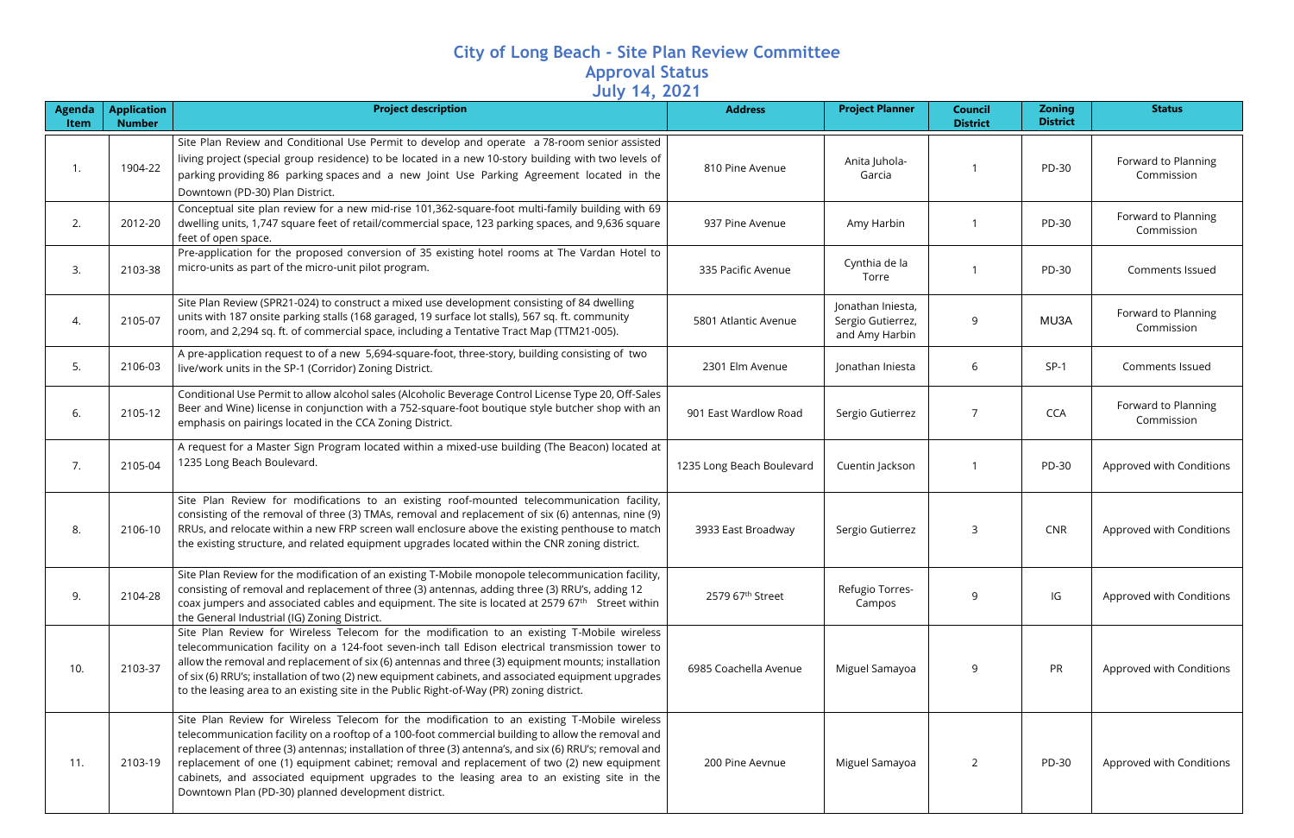## **City of Long Beach - Site Plan Review Committee Approval Status July 14, 2021**

| <b>Agenda</b><br>Item | <b>Application</b><br><b>Number</b> | <b>Project description</b>                                                                                                                                                                                                                                                                                                                                                                                                                                                                                                                                     | $-$<br><b>Address</b>        | <b>Project Planner</b>                                   | <b>Council</b><br><b>District</b> | <b>Zoning</b><br><b>District</b> | <b>Status</b>                     |
|-----------------------|-------------------------------------|----------------------------------------------------------------------------------------------------------------------------------------------------------------------------------------------------------------------------------------------------------------------------------------------------------------------------------------------------------------------------------------------------------------------------------------------------------------------------------------------------------------------------------------------------------------|------------------------------|----------------------------------------------------------|-----------------------------------|----------------------------------|-----------------------------------|
| $\overline{1}$ .      | 1904-22                             | Site Plan Review and Conditional Use Permit to develop and operate a 78-room senior assisted<br>living project (special group residence) to be located in a new 10-story building with two levels of<br>parking providing 86 parking spaces and a new Joint Use Parking Agreement located in the<br>Downtown (PD-30) Plan District.                                                                                                                                                                                                                            | 810 Pine Avenue              | Anita Juhola-<br>Garcia                                  |                                   | PD-30                            | Forward to Planning<br>Commission |
| 2.                    | 2012-20                             | Conceptual site plan review for a new mid-rise 101,362-square-foot multi-family building with 69<br>dwelling units, 1,747 square feet of retail/commercial space, 123 parking spaces, and 9,636 square<br>feet of open space.                                                                                                                                                                                                                                                                                                                                  | 937 Pine Avenue              | Amy Harbin                                               |                                   | PD-30                            | Forward to Planning<br>Commission |
| 3.                    | 2103-38                             | Pre-application for the proposed conversion of 35 existing hotel rooms at The Vardan Hotel to<br>micro-units as part of the micro-unit pilot program.                                                                                                                                                                                                                                                                                                                                                                                                          | 335 Pacific Avenue           | Cynthia de la<br>Torre                                   |                                   | PD-30                            | Comments Issued                   |
| 4.                    | 2105-07                             | Site Plan Review (SPR21-024) to construct a mixed use development consisting of 84 dwelling<br>units with 187 onsite parking stalls (168 garaged, 19 surface lot stalls), 567 sq. ft. community<br>room, and 2,294 sq. ft. of commercial space, including a Tentative Tract Map (TTM21-005).                                                                                                                                                                                                                                                                   | 5801 Atlantic Avenue         | Jonathan Iniesta,<br>Sergio Gutierrez,<br>and Amy Harbin | 9                                 | MU3A                             | Forward to Planning<br>Commission |
| 5.                    | 2106-03                             | A pre-application request to of a new 5,694-square-foot, three-story, building consisting of two<br>live/work units in the SP-1 (Corridor) Zoning District.                                                                                                                                                                                                                                                                                                                                                                                                    | 2301 Elm Avenue              | Jonathan Iniesta                                         | 6                                 | $SP-1$                           | Comments Issued                   |
| 6.                    | 2105-12                             | Conditional Use Permit to allow alcohol sales (Alcoholic Beverage Control License Type 20, Off-Sales<br>Beer and Wine) license in conjunction with a 752-square-foot boutique style butcher shop with an<br>emphasis on pairings located in the CCA Zoning District.                                                                                                                                                                                                                                                                                           | 901 East Wardlow Road        | Sergio Gutierrez                                         | 7                                 | <b>CCA</b>                       | Forward to Planning<br>Commission |
| 7.                    | 2105-04                             | A request for a Master Sign Program located within a mixed-use building (The Beacon) located at<br>1235 Long Beach Boulevard.                                                                                                                                                                                                                                                                                                                                                                                                                                  | 1235 Long Beach Boulevard    | Cuentin Jackson                                          |                                   | PD-30                            | Approved with Conditions          |
| 8.                    | 2106-10                             | Site Plan Review for modifications to an existing roof-mounted telecommunication facility,<br>consisting of the removal of three (3) TMAs, removal and replacement of six (6) antennas, nine (9)<br>RRUs, and relocate within a new FRP screen wall enclosure above the existing penthouse to match<br>the existing structure, and related equipment upgrades located within the CNR zoning district.                                                                                                                                                          | 3933 East Broadway           | Sergio Gutierrez                                         | 3                                 | <b>CNR</b>                       | Approved with Conditions          |
| 9.                    | 2104-28                             | Site Plan Review for the modification of an existing T-Mobile monopole telecommunication facility,<br>consisting of removal and replacement of three (3) antennas, adding three (3) RRU's, adding 12<br>coax jumpers and associated cables and equipment. The site is located at 2579 $67th$ Street within<br>the General Industrial (IG) Zoning District.                                                                                                                                                                                                     | 2579 67 <sup>th</sup> Street | Refugio Torres-<br>Campos                                | 9                                 | IG                               | Approved with Conditions          |
| 10.                   | 2103-37                             | Site Plan Review for Wireless Telecom for the modification to an existing T-Mobile wireless<br>telecommunication facility on a 124-foot seven-inch tall Edison electrical transmission tower to<br>allow the removal and replacement of six (6) antennas and three (3) equipment mounts; installation<br>of six (6) RRU's; installation of two (2) new equipment cabinets, and associated equipment upgrades<br>to the leasing area to an existing site in the Public Right-of-Way (PR) zoning district.                                                       | 6985 Coachella Avenue        | Miguel Samayoa                                           | 9                                 | PR                               | Approved with Conditions          |
| 11.                   | 2103-19                             | Site Plan Review for Wireless Telecom for the modification to an existing T-Mobile wireless<br>telecommunication facility on a rooftop of a 100-foot commercial building to allow the removal and<br>replacement of three (3) antennas; installation of three (3) antenna's, and six (6) RRU's; removal and<br>replacement of one (1) equipment cabinet; removal and replacement of two (2) new equipment<br>cabinets, and associated equipment upgrades to the leasing area to an existing site in the<br>Downtown Plan (PD-30) planned development district. | 200 Pine Aevnue              | Miguel Samayoa                                           | $\overline{2}$                    | PD-30                            | Approved with Conditions          |